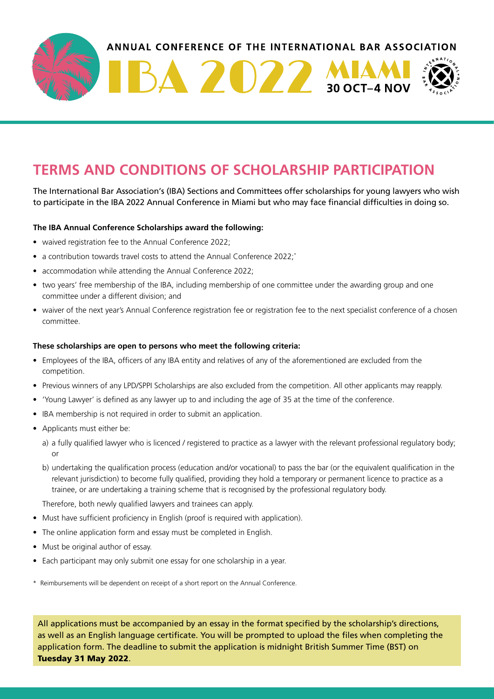

## **TERMS AND CONDITIONS OF SCHOLARSHIP PARTICIPATION**

The International Bar Association's (IBA) Sections and Committees offer scholarships for young lawyers who wish to participate in the IBA 2022 Annual Conference in Miami but who may face financial difficulties in doing so.

## **The IBA Annual Conference Scholarships award the following:**

- waived registration fee to the Annual Conference 2022;
- a contribution towards travel costs to attend the Annual Conference 2022;\*
- accommodation while attending the Annual Conference 2022;
- two years' free membership of the IBA, including membership of one committee under the awarding group and one committee under a different division; and
- waiver of the next year's Annual Conference registration fee or registration fee to the next specialist conference of a chosen committee.

## **These scholarships are open to persons who meet the following criteria:**

- Employees of the IBA, officers of any IBA entity and relatives of any of the aforementioned are excluded from the competition.
- Previous winners of any LPD/SPPI Scholarships are also excluded from the competition. All other applicants may reapply.
- 'Young Lawyer' is defined as any lawyer up to and including the age of 35 at the time of the conference.
- IBA membership is not required in order to submit an application.
- Applicants must either be:
	- a) a fully qualified lawyer who is licenced / registered to practice as a lawyer with the relevant professional regulatory body; or
	- b) undertaking the qualification process (education and/or vocational) to pass the bar (or the equivalent qualification in the relevant jurisdiction) to become fully qualified, providing they hold a temporary or permanent licence to practice as a trainee, or are undertaking a training scheme that is recognised by the professional regulatory body.

Therefore, both newly qualified lawyers and trainees can apply.

- Must have sufficient proficiency in English (proof is required with application).
- The online application form and essay must be completed in English.
- Must be original author of essay.
- Each participant may only submit one essay for one scholarship in a year.

\* Reimbursements will be dependent on receipt of a short report on the Annual Conference.

All applications must be accompanied by an essay in the format specified by the scholarship's directions, as well as an English language certificate. You will be prompted to upload the files when completing the application form. The deadline to submit the application is midnight British Summer Time (BST) on Tuesday 31 May 2022.